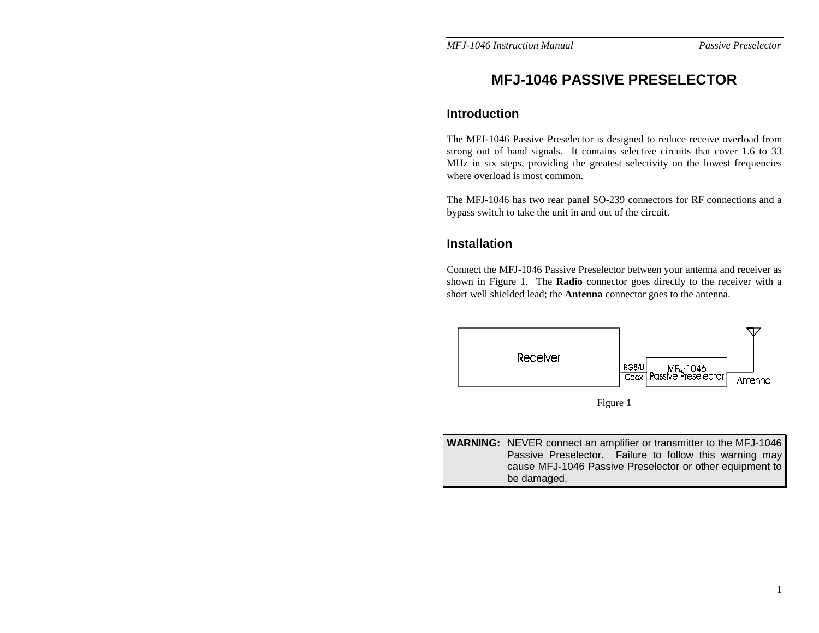# **MFJ-1046 PASSIVE PRESELECTOR**

### **Introduction**

The MFJ-1046 Passive Preselector is designed to reduce receive overload from strong out of band signals. It contains selective circuits that cover 1.6 to 33 MHz in six steps, providing the greatest selectivity on the lowest frequencies where overload is most common.

The MFJ-1046 has two rear panel SO-239 connectors for RF connections and a bypass switch to take the unit in and out of the circuit.

# **Installation**

Connect the MFJ-1046 Passive Preselector between your antenna and receiver as shown in Figure 1. The **Radio** connector goes directly to the receiver with a short well shielded lead; the **Antenna** connector goes to the antenna.





**WARNING:** NEVER connect an amplifier or transmitter to the MFJ-1046 Passive Preselector. Failure to follow this warning may cause MFJ-1046 Passive Preselector or other equipment to be damaged.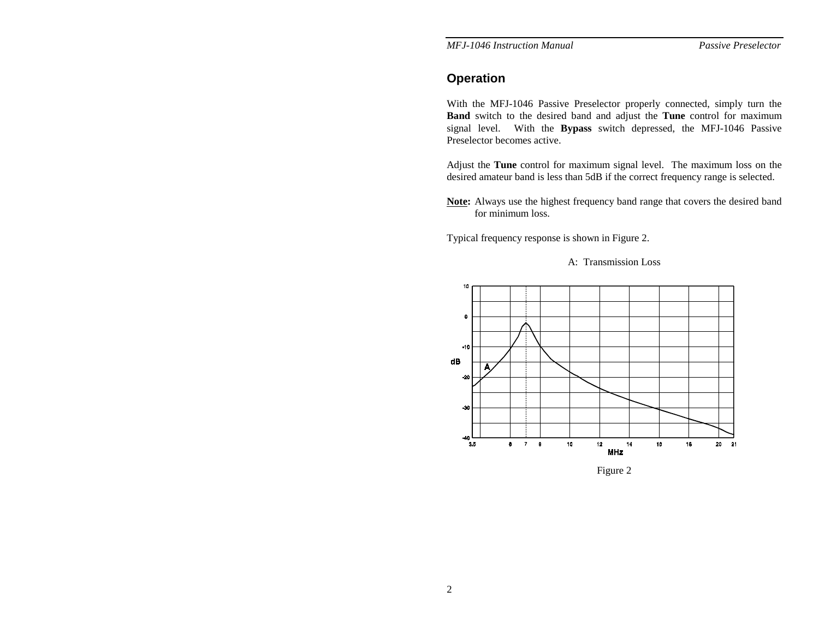*MFJ-1046 Instruction Manual* 

Passive Preselector

# **Operation**

With the MFJ-1046 Passive Preselector properly connected, simply turn the **Band** switch to the desired band and adjust the **Tune** control for maximum signal level. With the **Bypass** switch depressed, the MFJ-1046 Passive Preselector becomes active.

Adjust the **Tune** control for maximum signal level. The maximum loss on the desired amateur band is less than 5dB if the correct frequency range is selected.

**Note:** Always use the highest frequency band range that covers the desired band for minimum loss.

Typical frequency response is shown in Figure 2.





Figure 2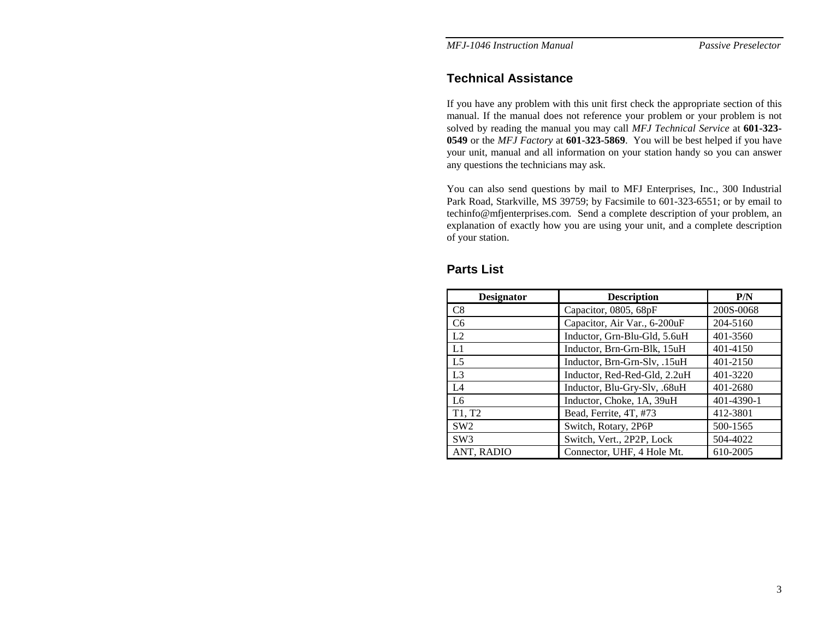*MFJ-1046 Instruction Manual Passive Preselector* 

#### **Technical Assistance**

If you have any problem with this unit first check the appropriate section of this manual. If the manual does not reference your problem or your problem is not solved by reading the manual you may call *MFJ Technical Service* at **601-323- 0549** or the *MFJ Factory* at **601-323-5869**. You will be best helped if you have your unit, manual and all information on your station handy so you can answer any questions the technicians may ask.

You can also send questions by mail to MFJ Enterprises, Inc., 300 Industrial Park Road, Starkville, MS 39759; by Facsimile to 601-323-6551; or by email to techinfo@mfjenterprises.com. Send a complete description of your problem, an explanation of exactly how you are using your unit, and a complete description of your station.

| <b>Designator</b>               | <b>Description</b>           | P/N        |
|---------------------------------|------------------------------|------------|
| C8                              | Capacitor, 0805, 68pF        | 200S-0068  |
| C <sub>6</sub>                  | Capacitor, Air Var., 6-200uF | 204-5160   |
| L2                              | Inductor, Grn-Blu-Gld, 5.6uH | 401-3560   |
| L1                              | Inductor, Brn-Grn-Blk, 15uH  | 401-4150   |
| L <sub>5</sub>                  | Inductor, Brn-Grn-Slv, .15uH | 401-2150   |
| L3                              | Inductor, Red-Red-Gld, 2.2uH | 401-3220   |
| L4                              | Inductor, Blu-Gry-Slv, .68uH | 401-2680   |
| L6                              | Inductor, Choke, 1A, 39uH    | 401-4390-1 |
| T <sub>1</sub> , T <sub>2</sub> | Bead, Ferrite, 4T, #73       | 412-3801   |
| SW2                             | Switch, Rotary, 2P6P         | 500-1565   |
| SW3                             | Switch, Vert., 2P2P, Lock    | 504-4022   |
| ANT, RADIO                      | Connector, UHF, 4 Hole Mt.   | 610-2005   |

#### **Parts List**